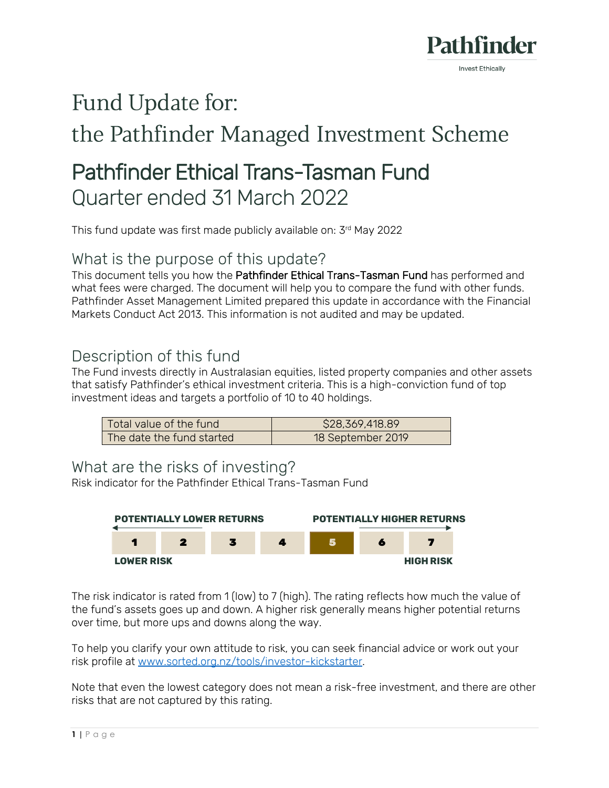

# Fund Update for:

## the Pathfinder Managed Investment Scheme

## Pathfinder Ethical Trans-Tasman Fund Quarter ended 31 March 2022

This fund update was first made publicly available on: 3rd May 2022

### What is the purpose of this update?

This document tells you how the Pathfinder Ethical Trans-Tasman Fund has performed and what fees were charged. The document will help you to compare the fund with other funds. Pathfinder Asset Management Limited prepared this update in accordance with the Financial Markets Conduct Act 2013. This information is not audited and may be updated.

## Description of this fund

The Fund invests directly in Australasian equities, listed property companies and other assets that satisfy Pathfinder's ethical investment criteria. This is a high-conviction fund of top investment ideas and targets a portfolio of 10 to 40 holdings.

| Total value of the fund   | \$28,369,418.89   |
|---------------------------|-------------------|
| The date the fund started | 18 September 2019 |

### What are the risks of investing?

Risk indicator for the Pathfinder Ethical Trans-Tasman Fund



The risk indicator is rated from 1 (low) to 7 (high). The rating reflects how much the value of the fund's assets goes up and down. A higher risk generally means higher potential returns over time, but more ups and downs along the way.

To help you clarify your own attitude to risk, you can seek financial advice or work out your risk profile at [www.sorted.org.nz/tools/investor-kickstarter.](http://www.sorted.org.nz/tools/investor-kickstarter)

Note that even the lowest category does not mean a risk-free investment, and there are other risks that are not captured by this rating.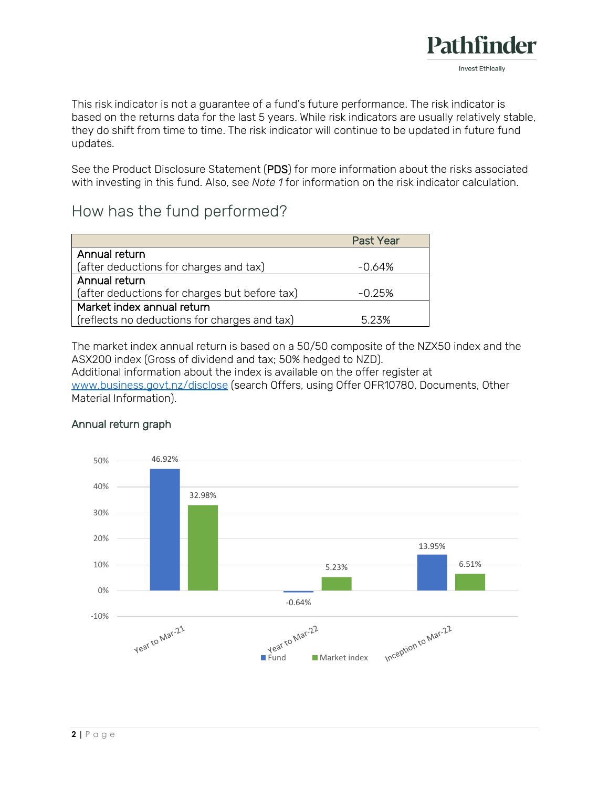

This risk indicator is not a guarantee of a fund's future performance. The risk indicator is based on the returns data for the last 5 years. While risk indicators are usually relatively stable, they do shift from time to time. The risk indicator will continue to be updated in future fund updates.

See the Product Disclosure Statement (PDS) for more information about the risks associated with investing in this fund. Also, see *Note 1* for information on the risk indicator calculation.

## How has the fund performed?

|                                               | <b>Past Year</b> |
|-----------------------------------------------|------------------|
| Annual return                                 |                  |
| (after deductions for charges and tax)        | -0.64%           |
| Annual return                                 |                  |
| (after deductions for charges but before tax) | $-0.25%$         |
| Market index annual return                    |                  |
| (reflects no deductions for charges and tax)  | 5.23%            |

The market index annual return is based on a 50/50 composite of the NZX50 index and the ASX200 index (Gross of dividend and tax; 50% hedged to NZD).

Additional information about the index is available on the offer register at [www.business.govt.nz/disclose](http://www.business.govt.nz/disclose) (search Offers, using Offer OFR10780, Documents, Other Material Information).

#### Annual return graph

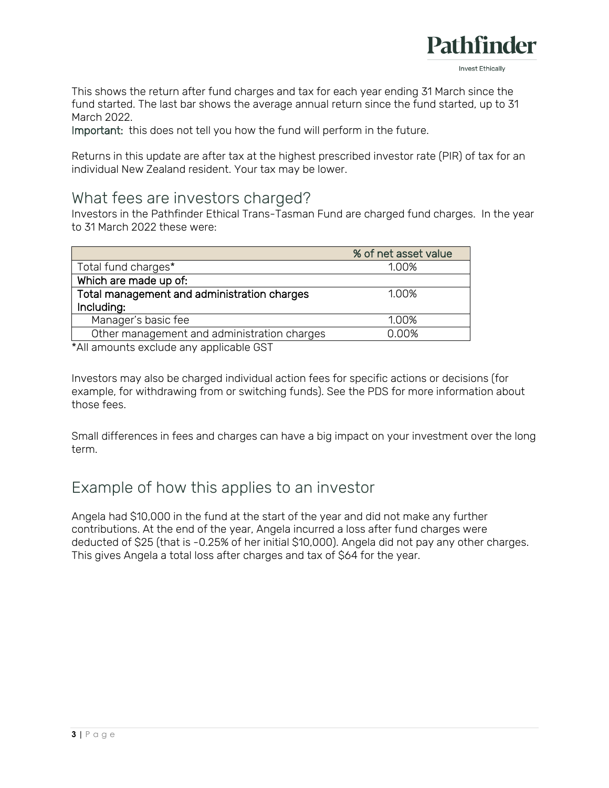

This shows the return after fund charges and tax for each year ending 31 March since the fund started. The last bar shows the average annual return since the fund started, up to 31 March 2022.

Important: this does not tell you how the fund will perform in the future.

Returns in this update are after tax at the highest prescribed investor rate (PIR) of tax for an individual New Zealand resident. Your tax may be lower.

#### What fees are investors charged?

Investors in the Pathfinder Ethical Trans-Tasman Fund are charged fund charges. In the year to 31 March 2022 these were:

| % of net asset value |
|----------------------|
|                      |
|                      |
|                      |
|                      |
|                      |
|                      |
|                      |

\*All amounts exclude any applicable GST

Investors may also be charged individual action fees for specific actions or decisions (for example, for withdrawing from or switching funds). See the PDS for more information about those fees.

Small differences in fees and charges can have a big impact on your investment over the long term.

## Example of how this applies to an investor

Angela had \$10,000 in the fund at the start of the year and did not make any further contributions. At the end of the year, Angela incurred a loss after fund charges were deducted of \$25 (that is -0.25% of her initial \$10,000). Angela did not pay any other charges. This gives Angela a total loss after charges and tax of \$64 for the year.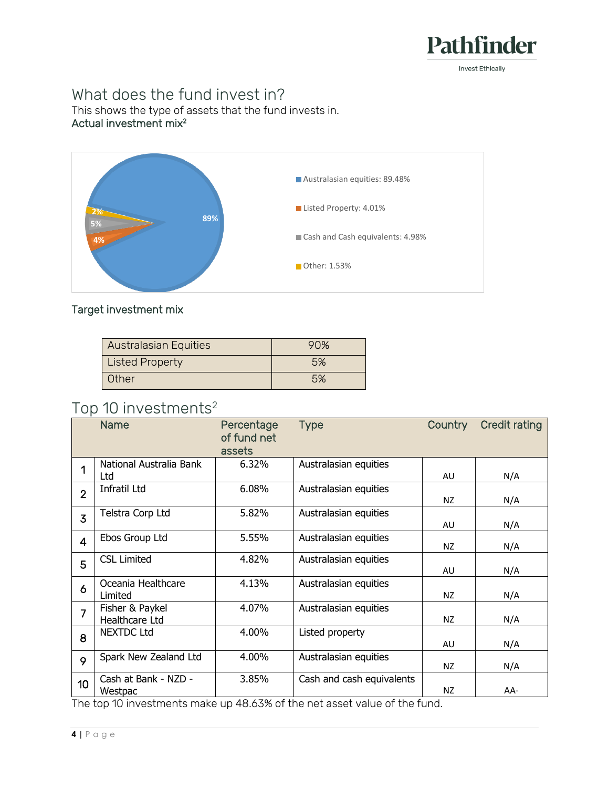

## What does the fund invest in?

This shows the type of assets that the fund invests in. Actual investment mix<sup>2</sup>



#### Target investment mix

| <b>Australasian Equities</b> | 90% |
|------------------------------|-----|
| <b>Listed Property</b>       | 5%  |
| Other                        | 5%  |

## Top 10 investments<sup>2</sup>

|                | <b>Name</b>                       | Percentage<br>of fund net<br>assets | <b>Type</b>               | <b>Country</b> | <b>Credit rating</b> |
|----------------|-----------------------------------|-------------------------------------|---------------------------|----------------|----------------------|
| 1              | National Australia Bank<br>Ltd    | 6.32%                               | Australasian equities     | AU             | N/A                  |
| $\overline{2}$ | Infratil Ltd                      | 6.08%                               | Australasian equities     | NZ.            | N/A                  |
| $\overline{3}$ | Telstra Corp Ltd                  | 5.82%                               | Australasian equities     | AU             | N/A                  |
| $\overline{4}$ | Ebos Group Ltd                    | 5.55%                               | Australasian equities     | NZ             | N/A                  |
| 5              | <b>CSL Limited</b>                | 4.82%                               | Australasian equities     | AU             | N/A                  |
| 6              | Oceania Healthcare<br>Limited     | 4.13%                               | Australasian equities     | NZ             | N/A                  |
| $\overline{7}$ | Fisher & Paykel<br>Healthcare Ltd | 4.07%                               | Australasian equities     | NZ             | N/A                  |
| 8              | <b>NEXTDC Ltd</b>                 | 4.00%                               | Listed property           | AU             | N/A                  |
| 9              | Spark New Zealand Ltd             | 4.00%                               | Australasian equities     | NZ.            | N/A                  |
| 10             | Cash at Bank - NZD -<br>Westpac   | 3.85%                               | Cash and cash equivalents | NZ             | AA-                  |

The top 10 investments make up 48.63% of the net asset value of the fund.